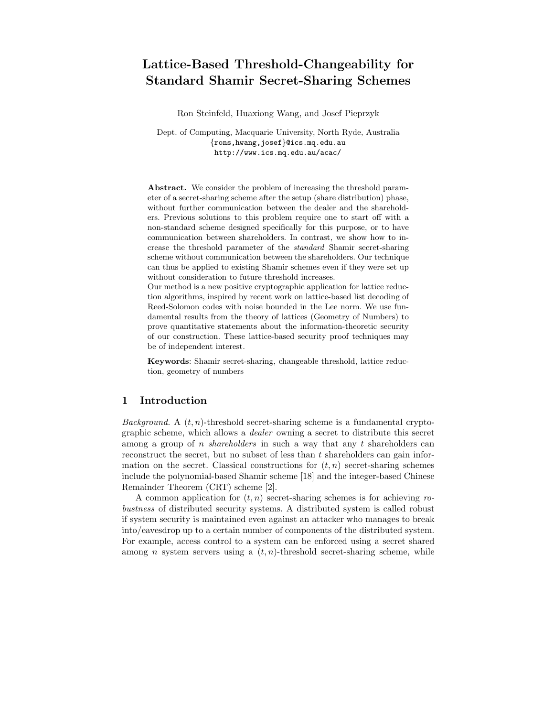# Lattice-Based Threshold-Changeability for Standard Shamir Secret-Sharing Schemes

Ron Steinfeld, Huaxiong Wang, and Josef Pieprzyk

Dept. of Computing, Macquarie University, North Ryde, Australia {rons,hwang,josef}@ics.mq.edu.au http://www.ics.mq.edu.au/acac/

Abstract. We consider the problem of increasing the threshold parameter of a secret-sharing scheme after the setup (share distribution) phase, without further communication between the dealer and the shareholders. Previous solutions to this problem require one to start off with a non-standard scheme designed specifically for this purpose, or to have communication between shareholders. In contrast, we show how to increase the threshold parameter of the standard Shamir secret-sharing scheme without communication between the shareholders. Our technique can thus be applied to existing Shamir schemes even if they were set up without consideration to future threshold increases.

Our method is a new positive cryptographic application for lattice reduction algorithms, inspired by recent work on lattice-based list decoding of Reed-Solomon codes with noise bounded in the Lee norm. We use fundamental results from the theory of lattices (Geometry of Numbers) to prove quantitative statements about the information-theoretic security of our construction. These lattice-based security proof techniques may be of independent interest.

Keywords: Shamir secret-sharing, changeable threshold, lattice reduction, geometry of numbers

# 1 Introduction

*Background.* A  $(t, n)$ -threshold secret-sharing scheme is a fundamental cryptographic scheme, which allows a dealer owning a secret to distribute this secret among a group of *n shareholders* in such a way that any  $t$  shareholders can reconstruct the secret, but no subset of less than  $t$  shareholders can gain information on the secret. Classical constructions for  $(t, n)$  secret-sharing schemes include the polynomial-based Shamir scheme [18] and the integer-based Chinese Remainder Theorem (CRT) scheme [2].

A common application for  $(t, n)$  secret-sharing schemes is for achieving robustness of distributed security systems. A distributed system is called robust if system security is maintained even against an attacker who manages to break into/eavesdrop up to a certain number of components of the distributed system. For example, access control to a system can be enforced using a secret shared among n system servers using a  $(t, n)$ -threshold secret-sharing scheme, while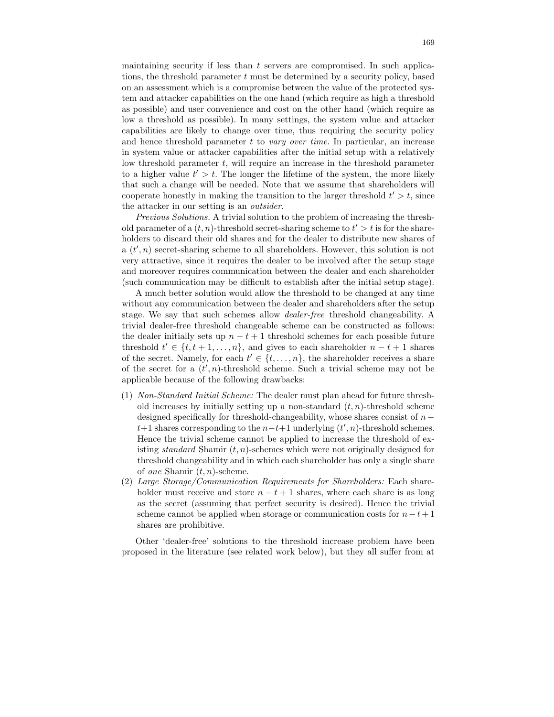maintaining security if less than  $t$  servers are compromised. In such applications, the threshold parameter  $t$  must be determined by a security policy, based on an assessment which is a compromise between the value of the protected system and attacker capabilities on the one hand (which require as high a threshold as possible) and user convenience and cost on the other hand (which require as low a threshold as possible). In many settings, the system value and attacker capabilities are likely to change over time, thus requiring the security policy and hence threshold parameter  $t$  to *vary over time*. In particular, an increase in system value or attacker capabilities after the initial setup with a relatively low threshold parameter  $t$ , will require an increase in the threshold parameter to a higher value  $t' > t$ . The longer the lifetime of the system, the more likely that such a change will be needed. Note that we assume that shareholders will cooperate honestly in making the transition to the larger threshold  $t' > t$ , since the attacker in our setting is an outsider.

Previous Solutions. A trivial solution to the problem of increasing the threshold parameter of a  $(t, n)$ -threshold secret-sharing scheme to  $t' > t$  is for the shareholders to discard their old shares and for the dealer to distribute new shares of a  $(t', n)$  secret-sharing scheme to all shareholders. However, this solution is not very attractive, since it requires the dealer to be involved after the setup stage and moreover requires communication between the dealer and each shareholder (such communication may be difficult to establish after the initial setup stage).

A much better solution would allow the threshold to be changed at any time without any communication between the dealer and shareholders after the setup stage. We say that such schemes allow dealer-free threshold changeability. A trivial dealer-free threshold changeable scheme can be constructed as follows: the dealer initially sets up  $n - t + 1$  threshold schemes for each possible future threshold  $t' \in \{t, t + 1, \ldots, n\}$ , and gives to each shareholder  $n - t + 1$  shares of the secret. Namely, for each  $t' \in \{t, \ldots, n\}$ , the shareholder receives a share of the secret for a  $(t', n)$ -threshold scheme. Such a trivial scheme may not be applicable because of the following drawbacks:

- (1) Non-Standard Initial Scheme: The dealer must plan ahead for future threshold increases by initially setting up a non-standard  $(t, n)$ -threshold scheme designed specifically for threshold-changeability, whose shares consist of  $n$  $t+1$  shares corresponding to the  $n-t+1$  underlying  $(t', n)$ -threshold schemes. Hence the trivial scheme cannot be applied to increase the threshold of existing standard Shamir  $(t, n)$ -schemes which were not originally designed for threshold changeability and in which each shareholder has only a single share of one Shamir  $(t, n)$ -scheme.
- (2) Large Storage/Communication Requirements for Shareholders: Each shareholder must receive and store  $n - t + 1$  shares, where each share is as long as the secret (assuming that perfect security is desired). Hence the trivial scheme cannot be applied when storage or communication costs for  $n-t+1$ shares are prohibitive.

Other 'dealer-free' solutions to the threshold increase problem have been proposed in the literature (see related work below), but they all suffer from at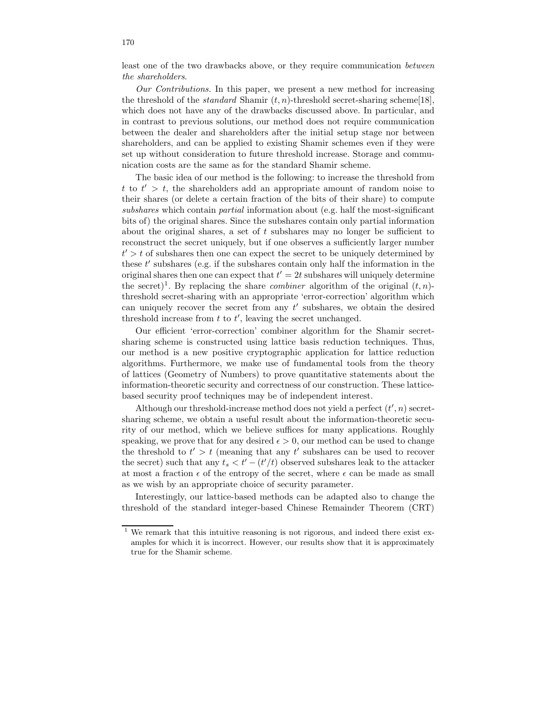least one of the two drawbacks above, or they require communication between the shareholders.

Our Contributions. In this paper, we present a new method for increasing the threshold of the *standard* Shamir  $(t, n)$ -threshold secret-sharing scheme[18], which does not have any of the drawbacks discussed above. In particular, and in contrast to previous solutions, our method does not require communication between the dealer and shareholders after the initial setup stage nor between shareholders, and can be applied to existing Shamir schemes even if they were set up without consideration to future threshold increase. Storage and communication costs are the same as for the standard Shamir scheme.

The basic idea of our method is the following: to increase the threshold from t to  $t' > t$ , the shareholders add an appropriate amount of random noise to their shares (or delete a certain fraction of the bits of their share) to compute subshares which contain partial information about (e.g. half the most-significant bits of) the original shares. Since the subshares contain only partial information about the original shares, a set of t subshares may no longer be sufficient to reconstruct the secret uniquely, but if one observes a sufficiently larger number  $t' > t$  of subshares then one can expect the secret to be uniquely determined by these  $t'$  subshares (e.g. if the subshares contain only half the information in the original shares then one can expect that  $t' = 2t$  subshares will uniquely determine the secret)<sup>1</sup>. By replacing the share *combiner* algorithm of the original  $(t, n)$ threshold secret-sharing with an appropriate 'error-correction' algorithm which can uniquely recover the secret from any  $t'$  subshares, we obtain the desired threshold increase from  $t$  to  $t'$ , leaving the secret unchanged.

Our efficient 'error-correction' combiner algorithm for the Shamir secretsharing scheme is constructed using lattice basis reduction techniques. Thus, our method is a new positive cryptographic application for lattice reduction algorithms. Furthermore, we make use of fundamental tools from the theory of lattices (Geometry of Numbers) to prove quantitative statements about the information-theoretic security and correctness of our construction. These latticebased security proof techniques may be of independent interest.

Although our threshold-increase method does not yield a perfect  $(t', n)$  secretsharing scheme, we obtain a useful result about the information-theoretic security of our method, which we believe suffices for many applications. Roughly speaking, we prove that for any desired  $\epsilon > 0$ , our method can be used to change the threshold to  $t' > t$  (meaning that any  $t'$  subshares can be used to recover the secret) such that any  $t_s < t' - (t'/t)$  observed subshares leak to the attacker at most a fraction  $\epsilon$  of the entropy of the secret, where  $\epsilon$  can be made as small as we wish by an appropriate choice of security parameter.

Interestingly, our lattice-based methods can be adapted also to change the threshold of the standard integer-based Chinese Remainder Theorem (CRT)

<sup>1</sup> We remark that this intuitive reasoning is not rigorous, and indeed there exist examples for which it is incorrect. However, our results show that it is approximately true for the Shamir scheme.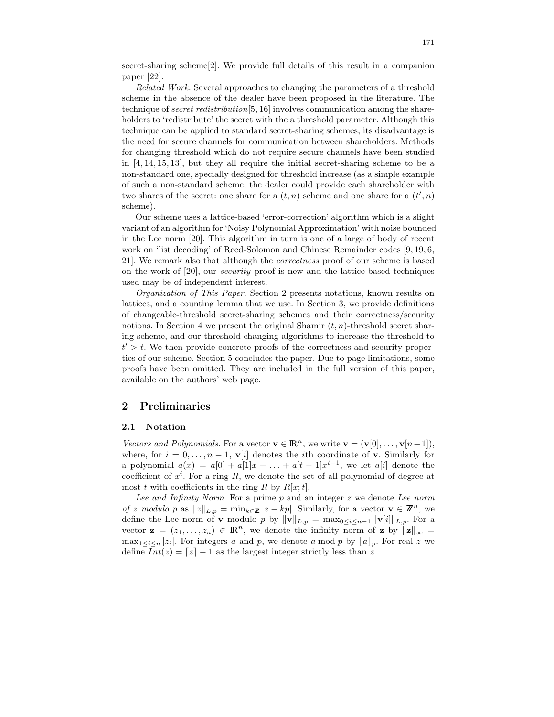secret-sharing scheme[2]. We provide full details of this result in a companion paper [22].

Related Work. Several approaches to changing the parameters of a threshold scheme in the absence of the dealer have been proposed in the literature. The technique of secret redistribution[5, 16] involves communication among the shareholders to 'redistribute' the secret with the a threshold parameter. Although this technique can be applied to standard secret-sharing schemes, its disadvantage is the need for secure channels for communication between shareholders. Methods for changing threshold which do not require secure channels have been studied in [4, 14, 15, 13], but they all require the initial secret-sharing scheme to be a non-standard one, specially designed for threshold increase (as a simple example of such a non-standard scheme, the dealer could provide each shareholder with two shares of the secret: one share for a  $(t, n)$  scheme and one share for a  $(t', n)$ scheme).

Our scheme uses a lattice-based 'error-correction' algorithm which is a slight variant of an algorithm for 'Noisy Polynomial Approximation' with noise bounded in the Lee norm [20]. This algorithm in turn is one of a large of body of recent work on 'list decoding' of Reed-Solomon and Chinese Remainder codes [9, 19, 6, 21]. We remark also that although the correctness proof of our scheme is based on the work of [20], our security proof is new and the lattice-based techniques used may be of independent interest.

Organization of This Paper. Section 2 presents notations, known results on lattices, and a counting lemma that we use. In Section 3, we provide definitions of changeable-threshold secret-sharing schemes and their correctness/security notions. In Section 4 we present the original Shamir  $(t, n)$ -threshold secret sharing scheme, and our threshold-changing algorithms to increase the threshold to  $t' > t$ . We then provide concrete proofs of the correctness and security properties of our scheme. Section 5 concludes the paper. Due to page limitations, some proofs have been omitted. They are included in the full version of this paper, available on the authors' web page.

# 2 Preliminaries

#### 2.1 Notation

*Vectors and Polynomials.* For a vector  $\mathbf{v} \in \mathbb{R}^n$ , we write  $\mathbf{v} = (\mathbf{v}[0], \ldots, \mathbf{v}[n-1]),$ where, for  $i = 0, \ldots, n-1$ ,  $\mathbf{v}[i]$  denotes the *i*th coordinate of **v**. Similarly for a polynomial  $a(x) = a[0] + a[1]x + \ldots + a[t-1]x^{t-1}$ , we let  $a[i]$  denote the coefficient of  $x^i$ . For a ring R, we denote the set of all polynomial of degree at most t with coefficients in the ring R by  $R[x;t]$ .

Lee and Infinity Norm. For a prime p and an integer z we denote Lee norm of z modulo p as  $||z||_{L,p} = \min_{k \in \mathbb{Z}} |z - kp|$ . Similarly, for a vector  $\mathbf{v} \in \mathbb{Z}^n$ , we define the Lee norm of **v** modulo p by  $\|\mathbf{v}\|_{L,p} = \max_{0 \leq i \leq n-1} \|\mathbf{v}[i]\|_{L,p}$ . For a vector  $\mathbf{z} = (z_1, \ldots, z_n) \in \mathbb{R}^n$ , we denote the infinity norm of  $\mathbf{z}$  by  $\|\mathbf{z}\|_{\infty} =$  $\max_{1 \leq i \leq n} |z_i|$ . For integers a and p, we denote a mod p by  $\lfloor a \rfloor_p$ . For real z we define  $Int(z) = \lfloor z \rfloor - 1$  as the largest integer strictly less than z.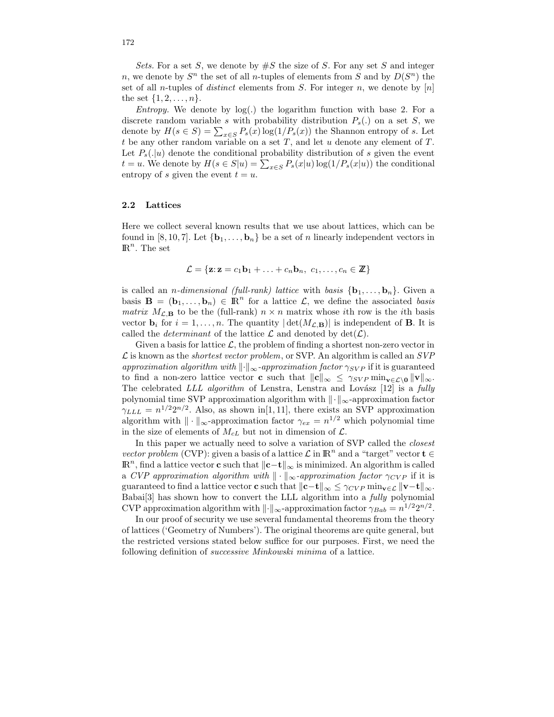Sets. For a set S, we denote by  $\#S$  the size of S. For any set S and integer n, we denote by  $S<sup>n</sup>$  the set of all n-tuples of elements from S and by  $D(S<sup>n</sup>)$  the set of all *n*-tuples of *distinct* elements from  $S$ . For integer  $n$ , we denote by  $[n]$ the set  $\{1, 2, ..., n\}$ .

*Entropy.* We denote by  $log(.)$  the logarithm function with base 2. For a discrete random variable s with probability distribution  $P_s(.)$  on a set S, we denote by  $H(s \in S) = \sum_{x \in S} P_s(x) \log(1/P_s(x))$  the Shannon entropy of s. Let t be any other random variable on a set  $T$ , and let  $u$  denote any element of  $T$ . Let  $P_s(.|u)$  denote the conditional probability distribution of s given the event t = u. We denote by  $H(s \in S | u) = \sum_{x \in S} P_s(x|u) \log(1/P_s(x|u))$  the conditional entropy of s given the event  $t = u$ .

### 2.2 Lattices

Here we collect several known results that we use about lattices, which can be found in [8, 10, 7]. Let  ${\bf b}_1, \ldots, {\bf b}_n$ } be a set of n linearly independent vectors in  $\mathbb{R}^n$ . The set

$$
\mathcal{L} = \{ \mathbf{z} \colon \mathbf{z} = c_1 \mathbf{b}_1 + \ldots + c_n \mathbf{b}_n, \ c_1, \ldots, c_n \in \mathbb{Z} \}
$$

is called an *n*-dimensional (full-rank) lattice with basis  $\{b_1, \ldots, b_n\}$ . Given a basis  $\mathbf{B} = (\mathbf{b}_1, \dots, \mathbf{b}_n) \in \mathbb{R}^n$  for a lattice  $\mathcal{L}$ , we define the associated basis *matrix*  $M_{\mathcal{L},\mathbf{B}}$  to be the (full-rank)  $n \times n$  matrix whose *i*th row is the *i*th basis vector  $\mathbf{b}_i$  for  $i = 1, \ldots, n$ . The quantity  $|\det(M_{\mathcal{L},\mathbf{B}})|$  is independent of **B**. It is called the *determinant* of the lattice  $\mathcal L$  and denoted by  $\det(\mathcal L)$ .

Given a basis for lattice  $\mathcal{L}$ , the problem of finding a shortest non-zero vector in  $\mathcal L$  is known as the *shortest vector problem*, or SVP. An algorithm is called an SVP approximation algorithm with  $\|\cdot\|_{\infty}$ -approximation factor  $\gamma_{SVP}$  if it is guaranteed to find a non-zero lattice vector **c** such that  $||c||_{\infty} \leq \gamma_{SVP} \min_{\mathbf{v} \in \mathcal{L}\setminus\mathbf{0}} ||\mathbf{v}||_{\infty}$ . The celebrated  $LLL$  algorithm of Lenstra, Lenstra and Lovász  $[12]$  is a fully polynomial time SVP approximation algorithm with  $\Vert \cdot \Vert_{\infty}$ -approximation factor  $\gamma_{LLL} = n^{1/2} 2^{n/2}$ . Also, as shown in[1,11], there exists an SVP approximation algorithm with  $\|\cdot\|_{\infty}$ -approximation factor  $\gamma_{ex} = n^{1/2}$  which polynomial time in the size of elements of  $M_{cL}$  but not in dimension of  $\mathcal{L}$ .

In this paper we actually need to solve a variation of SVP called the closest vector problem (CVP): given a basis of a lattice  $\mathcal L$  in  $\mathbb R^n$  and a "target" vector  $\mathbf t \in$  $\mathbb{R}^n$ , find a lattice vector **c** such that  $\|\mathbf{c}-\mathbf{t}\|_{\infty}$  is minimized. An algorithm is called a CVP approximation algorithm with  $\|\cdot\|_{\infty}$ -approximation factor  $\gamma_{CVP}$  if it is guaranteed to find a lattice vector **c** such that  $\|\mathbf{c}-\mathbf{t}\|_{\infty} \leq \gamma_{CVP} \min_{\mathbf{v}\in\mathcal{L}} \|\mathbf{v}-\mathbf{t}\|_{\infty}$ . Babai[3] has shown how to convert the LLL algorithm into a fully polynomial CVP approximation algorithm with  $\|\cdot\|_{\infty}$ -approximation factor  $\gamma_{Bab} = n^{1/2} 2^{n/2}$ .

In our proof of security we use several fundamental theorems from the theory of lattices ('Geometry of Numbers'). The original theorems are quite general, but the restricted versions stated below suffice for our purposes. First, we need the following definition of successive Minkowski minima of a lattice.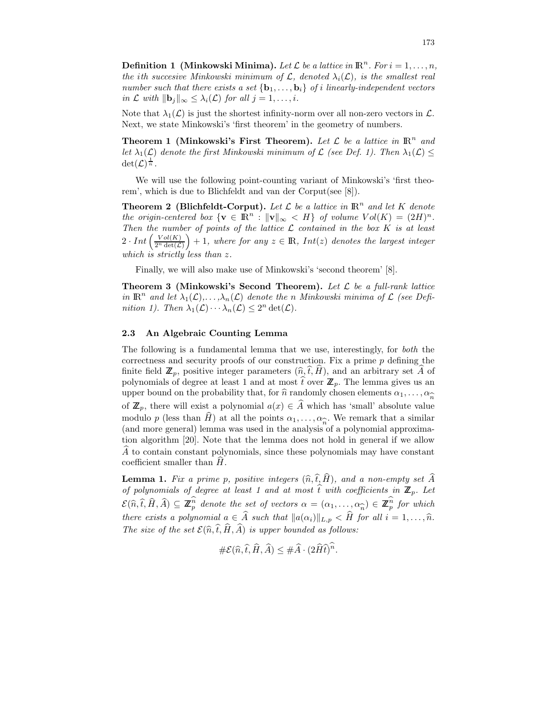**Definition 1** (Minkowski Minima). Let  $\mathcal{L}$  be a lattice in  $\mathbb{R}^n$ . For  $i = 1, ..., n$ , the ith succesive Minkowski minimum of  $\mathcal{L}$ , denoted  $\lambda_i(\mathcal{L})$ , is the smallest real number such that there exists a set  ${\bf b}_1, \ldots, {\bf b}_i$  of i linearly-independent vectors in  $\mathcal L$  with  $\|\mathbf{b}_j\|_{\infty} \leq \lambda_i(\mathcal L)$  for all  $j = 1, \ldots, i$ .

Note that  $\lambda_1(\mathcal{L})$  is just the shortest infinity-norm over all non-zero vectors in  $\mathcal{L}$ . Next, we state Minkowski's 'first theorem' in the geometry of numbers.

Theorem 1 (Minkowski's First Theorem). Let  $\mathcal L$  be a lattice in  $\mathbb R^n$  and let  $\lambda_1(\mathcal{L})$  denote the first Minkowski minimum of  $\mathcal{L}$  (see Def. 1). Then  $\lambda_1(\mathcal{L}) \leq$  $\det(\mathcal{L})^{\frac{1}{n}}.$ 

We will use the following point-counting variant of Minkowski's 'first theorem', which is due to Blichfeldt and van der Corput(see [8]).

**Theorem 2 (Blichfeldt-Corput).** Let  $\mathcal{L}$  be a lattice in  $\mathbb{R}^n$  and let  $K$  denote the origin-centered box  $\{v \in \mathbb{R}^n : ||v||_{\infty} < H\}$  of volume  $Vol(K) = (2H)^n$ . Then the number of points of the lattice  $\mathcal L$  contained in the box  $K$  is at least  $2 \cdot Int\left(\frac{Vol(K)}{2^n \det(\mathcal{L})}\right)$  $+ 1$ , where for any  $z \in \mathbb{R}$ ,  $Int(z)$  denotes the largest integer which is strictly less than z.

Finally, we will also make use of Minkowski's 'second theorem' [8].

**Theorem 3 (Minkowski's Second Theorem).** Let  $\mathcal{L}$  be a full-rank lattice in  $\mathbb{R}^n$  and let  $\lambda_1(\mathcal{L}), \ldots, \lambda_n(\mathcal{L})$  denote the n Minkowski minima of  $\mathcal L$  (see Definition 1). Then  $\lambda_1(\mathcal{L}) \cdots \lambda_n(\mathcal{L}) \leq 2^n \det(\mathcal{L})$ .

## 2.3 An Algebraic Counting Lemma

The following is a fundamental lemma that we use, interestingly, for both the correctness and security proofs of our construction. Fix a prime  $p$  defining the finite field  $\mathbb{Z}_p$ , positive integer parameters  $(\widehat{n}, \widehat{t}, \widehat{H})$ , and an arbitrary set  $\widehat{A}$  of polynomials of degree at least 1 and at most  $\hat{t}$  over  $\mathbb{Z}_p$ . The lemma gives us an upper bound on the probability that, for  $\hat{n}$  randomly chosen elements  $\alpha_1, \ldots, \alpha_{\hat{n}}$ of  $\mathbb{Z}_p$ , there will exist a polynomial  $a(x) \in \widehat{A}$  which has 'small' absolute value modulo p (less than H) at all the points  $\alpha_1, \ldots, \alpha_{\hat{n}}$ . We remark that a similar (and more general) lemma was used in the analysis of a polynomial approxima-(and more general) lemma was used in the analysis of a polynomial approximation algorithm [20]. Note that the lemma does not hold in general if we allow A to contain constant polynomials, since these polynomials may have constant coefficient smaller than  $H$ .

**Lemma 1.** Fix a prime p, positive integers  $(\widehat{n}, \widehat{t}, \widehat{H})$ , and a non-empty set  $\widehat{A}$ of polynomials of degree at least 1 and at most  $\hat{t}$  with coefficients in  $\mathbb{Z}_p$ . Let  $\mathcal{E}(\widehat{n}, \widehat{t}, \widehat{H}, \widehat{A}) \subseteq \mathbb{Z}_p^n$  denote the set of vectors  $\alpha = (\alpha_1, \ldots, \alpha_{\widehat{n}}) \in \mathbb{Z}_p^n$  for which there exists a polynomial  $a \in \widehat{A}$  such that  $||a(\alpha_i)||_{L,p} < \widehat{H}$  for all  $i = 1, ..., \widehat{n}$ . The size of the set  $\mathcal{E}(\widehat{n}, \widehat{t}, \widehat{H}, \widehat{A})$  is upper bounded as follows:

$$
\#\mathcal{E}(\widehat{n},\widehat{t},\widehat{H},\widehat{A}) \leq \#\widehat{A}\cdot(2\widehat{H}\widehat{t})^{\widehat{n}}.
$$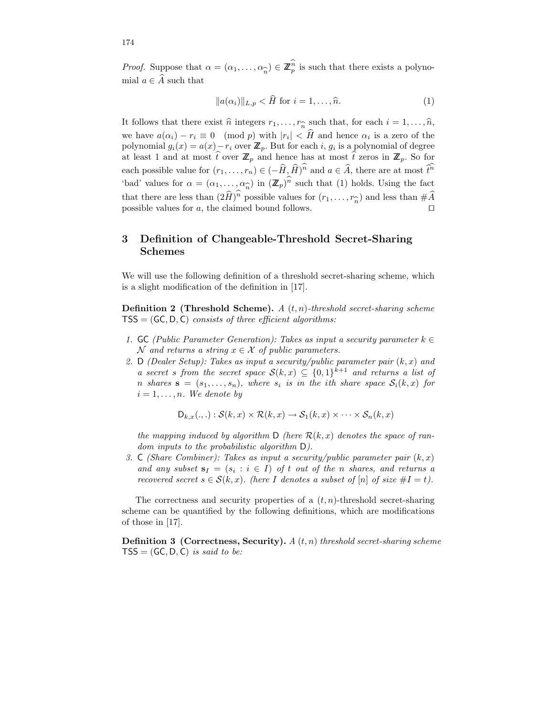*Proof.* Suppose that  $\alpha = (\alpha_1, \dots, \alpha_{\widehat{n}}) \in \mathbb{Z}_p^n$  is such that there exists a polynomial  $\alpha \in \widehat{A}$  such that mial  $a \in \widehat{A}$  such that

$$
||a(\alpha_i)||_{L,p} < \widehat{H} \text{ for } i = 1,\ldots,\widehat{n}.
$$
 (1)

It follows that there exist  $\hat{n}$  integers  $r_1, \ldots, r_{\hat{n}}$  such that, for each  $i = 1, \ldots, \hat{n}$ ,<br>we have  $g(x) = n_i = 0$ , (mod n) with  $|x| \leq \hat{H}$  and hance  $g$ , is a zero of the we have  $a(\alpha_i) - r_i \equiv 0 \pmod{p}$  with  $|r_i| < H$  and hence  $\alpha_i$  is a zero of the polynomial  $g_i(x) = a(x) - r_i$  over  $\mathbb{Z}_p$ . But for each i,  $g_i$  is a polynomial of degree at least 1 and at most  $\hat{t}$  over  $\mathbb{Z}_p$  and hence has at most  $\hat{t}$  zeros in  $\mathbb{Z}_p$ . So for each possible value for  $(r_1, \ldots, r_n) \in (-\tilde{H}, \tilde{H})^n$  and  $a \in \tilde{A}$ , there are at most  $\hat{t}^n$ 'bad' values for  $\alpha = (\alpha_1, \dots, \alpha_n)$  in  $(\mathbb{Z}_p)^n$  such that (1) holds. Using the fact that there are less than  $(2\hat{H})^n$  possible values for  $(r_1, \ldots, r_{\widehat{n}})$  and less than  $\#\hat{A}$  possible values for a, the claimed bound follows. possible values for  $a$ , the claimed bound follows.  $\Box$ 

# 3 Definition of Changeable-Threshold Secret-Sharing Schemes

We will use the following definition of a threshold secret-sharing scheme, which is a slight modification of the definition in [17].

**Definition 2 (Threshold Scheme).** A  $(t, n)$ -threshold secret-sharing scheme  $TSS = (GC, D, C)$  consists of three efficient algorithms:

- 1. GC (Public Parameter Generation): Takes as input a security parameter  $k \in$ N and returns a string  $x \in \mathcal{X}$  of public parameters.
- 2. D (Dealer Setup): Takes as input a security/public parameter pair  $(k, x)$  and a secret s from the secret space  $\mathcal{S}(k,x) \subseteq \{0,1\}^{k+1}$  and returns a list of n shares  $\mathbf{s} = (s_1, \ldots, s_n)$ , where  $s_i$  is in the ith share space  $\mathcal{S}_i(k, x)$  for  $i = 1, \ldots, n$ . We denote by

$$
\mathsf{D}_{k,x}(\ldots): \mathcal{S}(k,x) \times \mathcal{R}(k,x) \to \mathcal{S}_1(k,x) \times \cdots \times \mathcal{S}_n(k,x)
$$

the mapping induced by algorithm D (here  $\mathcal{R}(k, x)$  denotes the space of random inputs to the probabilistic algorithm D).

3. C (Share Combiner): Takes as input a security/public parameter pair  $(k, x)$ and any subset  $s_I = (s_i : i \in I)$  of t out of the n shares, and returns a recovered secret  $s \in \mathcal{S}(k, x)$ . (here I denotes a subset of [n] of size  $\#I = t$ ).

The correctness and security properties of a  $(t, n)$ -threshold secret-sharing scheme can be quantified by the following definitions, which are modifications of those in [17].

**Definition 3 (Correctness, Security).**  $A(t, n)$  threshold secret-sharing scheme  $TSS = (GC, D, C)$  is said to be: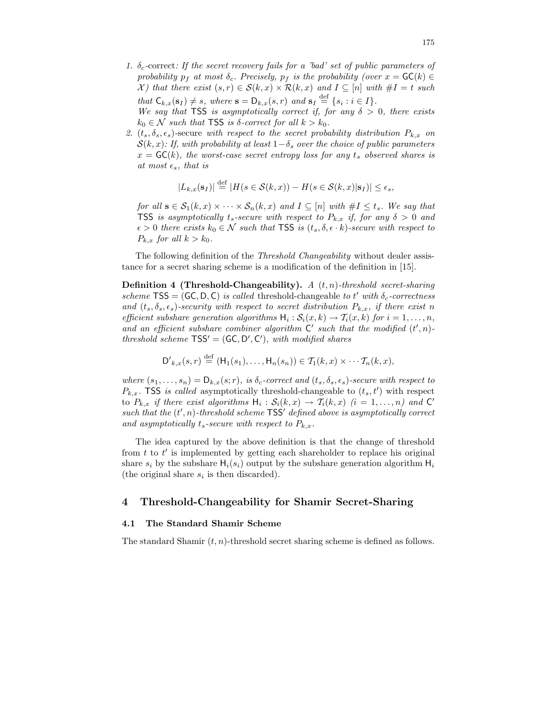1.  $\delta_c$ -correct: If the secret recovery fails for a 'bad' set of public parameters of probability  $p_f$  at most  $\delta_c$ . Precisely,  $p_f$  is the probability (over  $x = \mathsf{GC}(k) \in$  $\mathcal{X}$ ) that there exist  $(s,r) \in \mathcal{S}(k,x) \times \mathcal{R}(k,x)$  and  $I \subseteq [n]$  with  $\#I = t$  such that  $\mathsf{C}_{k,x}(\mathbf{s}_I) \neq s$ , where  $\mathbf{s} = \mathsf{D}_{k,x}(s,r)$  and  $\mathbf{s}_I \stackrel{\text{def}}{=} \{s_i : i \in I\}.$ 

We say that TSS is asymptotically correct if, for any  $\delta > 0$ , there exists  $k_0 \in \mathcal{N}$  such that TSS is  $\delta$ -correct for all  $k > k_0$ .

2.  $(t_s, \delta_s, \epsilon_s)$ -secure with respect to the secret probability distribution  $P_{k,x}$  on  $S(k, x)$ : If, with probability at least  $1-\delta_s$  over the choice of public parameters  $x = \mathsf{GC}(k)$ , the worst-case secret entropy loss for any  $t_s$  observed shares is at most  $\epsilon_s$ , that is

$$
|L_{k,x}(\mathbf{s}_I)| \stackrel{\text{def}}{=} |H(s \in \mathcal{S}(k,x)) - H(s \in \mathcal{S}(k,x)|\mathbf{s}_I)| \le \epsilon_s,
$$

for all  $\mathbf{s} \in \mathcal{S}_1(k, x) \times \cdots \times \mathcal{S}_n(k, x)$  and  $I \subseteq [n]$  with  $\#I \leq t_s$ . We say that TSS is asymptotically  $t_s$ -secure with respect to  $P_{k,x}$  if, for any  $\delta > 0$  and  $\epsilon > 0$  there exists  $k_0 \in \mathcal{N}$  such that TSS is  $(t_s, \delta, \epsilon \cdot k)$ -secure with respect to  $P_{k,x}$  for all  $k > k_0$ .

The following definition of the Threshold Changeability without dealer assistance for a secret sharing scheme is a modification of the definition in [15].

**Definition 4 (Threshold-Changeability).** A  $(t, n)$ -threshold secret-sharing scheme  $TSS = (GC, D, C)$  is called threshold-changeable to t' with  $\delta_c$ -correctness and  $(t_s, \delta_s, \epsilon_s)$ -security with respect to secret distribution  $P_{k,x}$ , if there exist n efficient subshare generation algorithms  $H_i: S_i(x, k) \to T_i(x, k)$  for  $i = 1, ..., n$ , and an efficient subshare combiner algorithm  $C'$  such that the modified  $(t', n)$ threshold scheme  $TSS' = (GC, D', C')$ , with modified shares

$$
\mathsf{D'}_{k,x}(s,r) \stackrel{\text{def}}{=} (\mathsf{H}_1(s_1),\ldots,\mathsf{H}_n(s_n)) \in \mathcal{T}_1(k,x) \times \cdots \mathcal{T}_n(k,x),
$$

where  $(s_1, \ldots, s_n) = D_{k,x}(s; r)$ , is  $\delta_c$ -correct and  $(t_s, \delta_s, \epsilon_s)$ -secure with respect to  $P_{k,x}$ . TSS is called asymptotically threshold-changeable to  $(t_s, t')$  with respect to  $P_{k,x}$  if there exist algorithms  $H_i: \mathcal{S}_i(k,x) \to \mathcal{T}_i(k,x)$   $(i = 1,\ldots,n)$  and  $\mathsf{C}'$ such that the  $(t', n)$ -threshold scheme  $TSS'$  defined above is asymptotically correct and asymptotically  $t_s$ -secure with respect to  $P_{k,x}$ .

The idea captured by the above definition is that the change of threshold from  $t$  to  $t'$  is implemented by getting each shareholder to replace his original share  $s_i$  by the subshare  $H_i(s_i)$  output by the subshare generation algorithm  $H_i$ (the original share  $s_i$  is then discarded).

# 4 Threshold-Changeability for Shamir Secret-Sharing

## 4.1 The Standard Shamir Scheme

The standard Shamir  $(t, n)$ -threshold secret sharing scheme is defined as follows.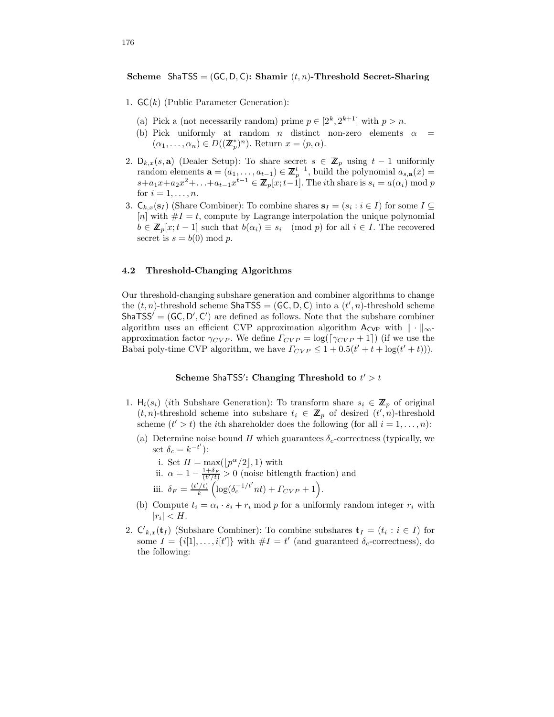Scheme ShaTSS =  $(GC, D, C)$ : Shamir  $(t, n)$ -Threshold Secret-Sharing

- 1.  $\mathsf{GC}(k)$  (Public Parameter Generation):
	- (a) Pick a (not necessarily random) prime  $p \in [2^k, 2^{k+1}]$  with  $p > n$ .
	- (b) Pick uniformly at random n distinct non-zero elements  $\alpha$  $(\alpha_1, \ldots, \alpha_n) \in D((\mathbb{Z}_p^*)^n)$ . Return  $x = (p, \alpha)$ .
- 2.  $D_{k,x}(s, a)$  (Dealer Setup): To share secret  $s \in \mathbb{Z}_p$  using  $t-1$  uniformly random elements  $\mathbf{a} = (a_1, \ldots, a_{t-1}) \in \mathbb{Z}_p^{t-1}$ , build the polynomial  $a_{s,\mathbf{a}}(x) =$  $s+a_1x+a_2x^2+\ldots+a_{t-1}x^{t-1} \in \mathbb{Z}_p[x;t-1]$ . The *i*th share is  $s_i = a(\alpha_i) \bmod p$ for  $i = 1, \ldots, n$ .
- 3.  $\mathsf{C}_{k,x}(\mathbf{s}_I)$  (Share Combiner): To combine shares  $\mathbf{s}_I = (s_i : i \in I)$  for some  $I \subseteq$ [n] with  $\#I = t$ , compute by Lagrange interpolation the unique polynomial  $b \in \mathbb{Z}_p[x;t-1]$  such that  $b(\alpha_i) \equiv s_i \pmod{p}$  for all  $i \in I$ . The recovered secret is  $s = b(0) \bmod p$ .

# 4.2 Threshold-Changing Algorithms

Our threshold-changing subshare generation and combiner algorithms to change the  $(t, n)$ -threshold scheme ShaTSS = (GC, D, C) into a  $(t', n)$ -threshold scheme  $\text{ShaTSS'} = (\text{GC}, \text{D'}, \text{C'})$  are defined as follows. Note that the subshare combiner algorithm uses an efficient CVP approximation algorithm  $A_{\text{CVP}}$  with  $\|\cdot\|_{\infty}$ approximation factor  $\gamma_{CVP}$ . We define  $\Gamma_{CVP} = \log(\gamma_{CVP} + 1)$  (if we use the Babai poly-time CVP algorithm, we have  $\Gamma_{CVP} \leq 1 + 0.5(t' + t + \log(t' + t))$ .

# Scheme ShaTSS': Changing Threshold to  $t' > t$

- 1.  $H_i(s_i)$  (ith Subshare Generation): To transform share  $s_i \in \mathbb{Z}_p$  of original  $(t, n)$ -threshold scheme into subshare  $t_i \in \mathbb{Z}_p$  of desired  $(t', n)$ -threshold scheme  $(t' > t)$  the *i*th shareholder does the following (for all  $i = 1, ..., n$ ):
	- (a) Determine noise bound H which guarantees  $\delta_c$ -correctness (typically, we set  $\delta_c = k^{-t'}$ ):
		- i. Set  $H = \max(|p^{\alpha}/2|, 1)$  with
		- ii.  $\alpha = 1 \frac{1+\delta_F}{(t'/t)} > 0$  (noise bitlength fraction) and

iii. 
$$
\delta_F = \frac{(t'/t)}{k} \left( \log(\delta_c^{-1/t'} nt) + \Gamma_{CVP} + 1 \right).
$$

- (b) Compute  $t_i = \alpha_i \cdot s_i + r_i \mod p$  for a uniformly random integer  $r_i$  with  $|r_i| < H.$
- 2.  $\mathsf{C'}_{k,x}(\mathbf{t}_I)$  (Subshare Combiner): To combine subshares  $\mathbf{t}_I = (t_i : i \in I)$  for some  $I = \{i[1], \ldots, i[t']\}$  with  $\#I = t'$  (and guaranteed  $\delta_c$ -correctness), do the following: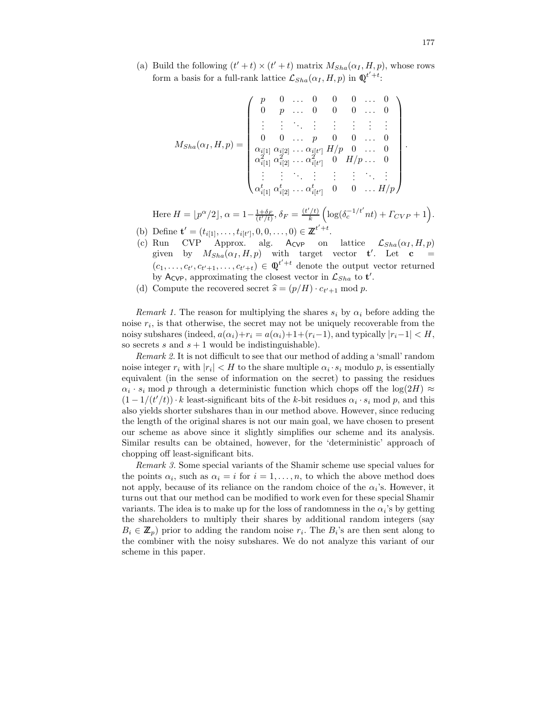(a) Build the following  $(t'+t) \times (t'+t)$  matrix  $M_{Sha}(\alpha_I, H, p)$ , whose rows form a basis for a full-rank lattice  $\mathcal{L}_{Sha}(\alpha_I, H, p)$  in  $\mathbb{Q}^{t'+t}$ .

$$
M_{Sha}(\alpha_I, H, p) = \begin{pmatrix} p & 0 & \dots & 0 & 0 & 0 & \dots & 0 \\ 0 & p & \dots & 0 & 0 & 0 & \dots & 0 \\ \vdots & \vdots & \ddots & \vdots & \vdots & \vdots & \vdots & \vdots \\ 0 & 0 & \dots & p & 0 & 0 & \dots & 0 \\ \alpha_{i[1]} \alpha_{i[2]} \dots \alpha_{i[t']} & H/p & 0 & \dots & 0 \\ \alpha_{i[1]}^2 \alpha_{i[2]}^2 \dots \alpha_{i[t']}^2 & 0 & H/p & \dots & 0 \\ \vdots & \vdots & \ddots & \vdots & \vdots & \ddots & \vdots \\ \alpha_{i[1]}^t \alpha_{i[2]}^t \dots \alpha_{i[t']}^t & 0 & 0 & \dots & H/p \end{pmatrix}.
$$

Here 
$$
H = [p^{\alpha}/2], \alpha = 1 - \frac{1+\delta_F}{(t'/t)}, \delta_F = \frac{(t'/t)}{k} \left( \log(\delta_c^{-1/t'} nt) + \Gamma_{CVP} + 1 \right).
$$

- (b) Define  $\mathbf{t}' = (t_{i[1]}, \ldots, t_{i[t']}, 0, 0, \ldots, 0) \in \mathbb{Z}^{t'+t}$ .
- (c) Run CVP Approx. alg.  $A_{\text{CVP}}$  on lattice  $\mathcal{L}_{Sha}(\alpha_I, H, p)$ given by  $M_{Sha}(\alpha_I, H, p)$  with target vector **t'**. Let **c** =  $(c_1, \ldots, c_{t'}, c_{t'+1}, \ldots, c_{t'+t}) \in \mathbb{Q}^{t'+t}$  denote the output vector returned by A<sub>CVP</sub>, approximating the closest vector in  $\mathcal{L}_{Sha}$  to **t'**.
- (d) Compute the recovered secret  $\hat{s} = (p/H) \cdot c_{t'+1} \text{ mod } p$ .

Remark 1. The reason for multiplying the shares  $s_i$  by  $\alpha_i$  before adding the noise  $r_i$ , is that otherwise, the secret may not be uniquely recoverable from the noisy subshares (indeed,  $a(\alpha_i)+r_i = a(\alpha_i)+1+(r_i-1)$ , and typically  $|r_i-1| < H$ , so secrets  $s$  and  $s + 1$  would be indistinguishable).

Remark 2. It is not difficult to see that our method of adding a 'small' random noise integer  $r_i$  with  $|r_i|$   $\lt H$  to the share multiple  $\alpha_i \cdot s_i$  modulo p, is essentially equivalent (in the sense of information on the secret) to passing the residues  $\alpha_i \cdot s_i \mod p$  through a deterministic function which chops off the  $\log(2H) \approx$  $(1-1/(t'/t)) \cdot k$  least-significant bits of the k-bit residues  $\alpha_i \cdot s_i$  mod p, and this also yields shorter subshares than in our method above. However, since reducing the length of the original shares is not our main goal, we have chosen to present our scheme as above since it slightly simplifies our scheme and its analysis. Similar results can be obtained, however, for the 'deterministic' approach of chopping off least-significant bits.

Remark 3. Some special variants of the Shamir scheme use special values for the points  $\alpha_i$ , such as  $\alpha_i = i$  for  $i = 1, \ldots, n$ , to which the above method does not apply, because of its reliance on the random choice of the  $\alpha_i$ 's. However, it turns out that our method can be modified to work even for these special Shamir variants. The idea is to make up for the loss of randomness in the  $\alpha_i$ 's by getting the shareholders to multiply their shares by additional random integers (say  $B_i \in \mathbb{Z}_p$ ) prior to adding the random noise  $r_i$ . The  $B_i$ 's are then sent along to the combiner with the noisy subshares. We do not analyze this variant of our scheme in this paper.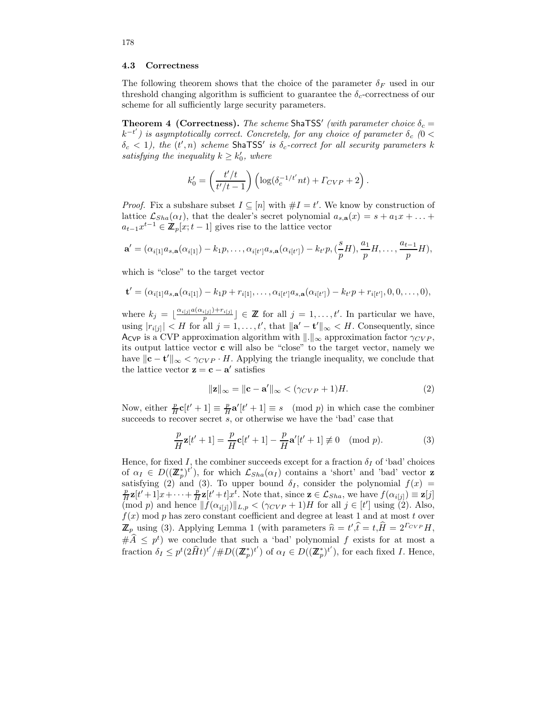#### 4.3 Correctness

The following theorem shows that the choice of the parameter  $\delta_F$  used in our threshold changing algorithm is sufficient to guarantee the  $\delta_c$ -correctness of our scheme for all sufficiently large security parameters.

**Theorem 4 (Correctness).** The scheme ShaTSS' (with parameter choice  $\delta_c =$  $k^{-t'}$ ) is asymptotically correct. Concretely, for any choice of parameter  $\delta_c$  (0 <  $\delta_c$  < 1), the  $(t', n)$  scheme ShaTSS' is  $\delta_c$ -correct for all security parameters k satisfying the inequality  $k \geq k'_0$ , where

$$
k_0' = \left(\frac{t'/t}{t'/t-1}\right) \left(\log(\delta_c^{-1/t'}nt) + \varGamma_{CVP} + 2\right).
$$

*Proof.* Fix a subshare subset  $I \subseteq [n]$  with  $\#I = t'$ . We know by construction of lattice  $\mathcal{L}_{Sha}(\alpha_I)$ , that the dealer's secret polynomial  $a_{s,a}(x) = s + a_1x + ...$  $a_{t-1}x^{t-1} \in \mathbb{Z}_p[x;t-1]$  gives rise to the lattice vector

$$
\mathbf{a}'=(\alpha_{i[1]}a_{s,\mathbf{a}}(\alpha_{i[1]})-k_1p,\ldots,\alpha_{i[t']}a_{s,\mathbf{a}}(\alpha_{i[t']})-k_t\cdot p,(\frac{s}{p}H),\frac{a_1}{p}H,\ldots,\frac{a_{t-1}}{p}H),
$$

which is "close" to the target vector

$$
\mathbf{t}' = (\alpha_{i[1]}a_{s,\mathbf{a}}(\alpha_{i[1]}) - k_1p + r_{i[1]}, \ldots, \alpha_{i[t']}a_{s,\mathbf{a}}(\alpha_{i[t']}) - k_{t'}p + r_{i[t']}, 0, 0, \ldots, 0),
$$

where  $k_j = \lfloor \frac{\alpha_{i[j]}a(\alpha_{i[j]})+r_{i[j]}}{n}$  $\lfloor \frac{i[j]+r_{i[j]} }{p} \rfloor \in \mathbb{Z}$  for all  $j=1,\ldots,t'$ . In particular we have, using  $|r_{i[j]}| < H$  for all  $j = 1, \ldots, t'$ , that  $\|\mathbf{a}' - \mathbf{t}'\|_{\infty} < H$ . Consequently, since A<sub>CVP</sub> is a CVP approximation algorithm with  $\|\cdot\|_{\infty}$  approximation factor  $\gamma_{CVP}$ , its output lattice vector c will also be "close" to the target vector, namely we have  $\|\mathbf{c} - \mathbf{t}'\|_{\infty} < \gamma_{CVP} \cdot H$ . Applying the triangle inequality, we conclude that the lattice vector  $z = c - a'$  satisfies

$$
\|\mathbf{z}\|_{\infty} = \|\mathbf{c} - \mathbf{a}'\|_{\infty} < (\gamma_{CVP} + 1)H. \tag{2}
$$

Now, either  $\frac{p}{H}\mathbf{c}[t'+1] \equiv \frac{p}{H}\mathbf{a}'[t'+1] \equiv s \pmod{p}$  in which case the combiner succeeds to recover secret s, or otherwise we have the 'bad' case that

$$
\frac{p}{H}\mathbf{z}[t'+1] = \frac{p}{H}\mathbf{c}[t'+1] - \frac{p}{H}\mathbf{a}'[t'+1] \not\equiv 0 \pmod{p}.
$$
 (3)

Hence, for fixed I, the combiner succeeds except for a fraction  $\delta_I$  of 'bad' choices of  $\alpha_I \in D((\mathbb{Z}_p^*)^{t'})$ , for which  $\mathcal{L}_{Sha}(\alpha_I)$  contains a 'short' and 'bad' vector z satisfying (2) and (3). To upper bound  $\delta_I$ , consider the polynomial  $f(x)$  $\frac{p}{H}\mathbf{z}[t'+1]x+\cdots+\frac{p}{H}\mathbf{z}[t'+t]x^t$ . Note that, since  $\mathbf{z}\in\mathcal{L}_{Sha}$ , we have  $f(\alpha_{i[j]})\equiv \mathbf{z}[j]$ (mod p) and hence  $||f(\alpha_{i[j]})||_{L,p} < (\gamma_{CVP} + 1)H$  for all  $j \in [t']$  using (2). Also,  $f(x)$  mod p has zero constant coefficient and degree at least 1 and at most t over  $\mathbb{Z}_p$  using (3). Applying Lemma 1 (with parameters  $\hat{n} = t'$ ,  $\hat{t} = t$ ,  $\hat{H} = 2^{\Gamma_{CVP}}H$ ,  $\#\widehat{A} \leq p^t$  we conclude that such a 'bad' polynomial f exists for at most a fraction  $\delta_I \leq p^t(2\widehat{H}t)^{t'}/\#D((\mathbb{Z}_p^*)^{t'})$  of  $\alpha_I \in D((\mathbb{Z}_p^*)^{t'}),$  for each fixed I. Hence,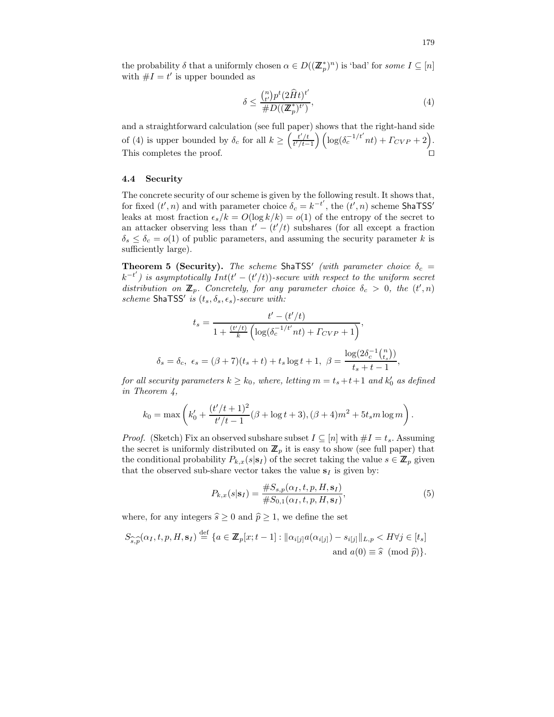the probability  $\delta$  that a uniformly chosen  $\alpha \in D((\mathbb{Z}_p^*)^n)$  is 'bad' for some  $I \subseteq [n]$ with  $\#I = t'$  is upper bounded as

$$
\delta \le \frac{\binom{n}{t'} p^t (2\widehat{H}t)^{t'}}{\#D((\mathbb{Z}_p^*)^{t'})},\tag{4}
$$

and a straightforward calculation (see full paper) shows that the right-hand side of (4) is upper bounded by  $\delta_c$  for all  $k \geq \left(\frac{t'/t}{t'/t-1}\right)$  $t'/t-1$  $\Big(\log(\delta_c^{-1/t'}nt)+\Gamma_{CVP}+2\Big).$ This completes the proof.  $\Box$ 

# 4.4 Security

The concrete security of our scheme is given by the following result. It shows that, for fixed  $(t', n)$  and with parameter choice  $\delta_c = k^{-t'}$ , the  $(t', n)$  scheme ShaTSS' leaks at most fraction  $\epsilon_s/k = O(\log k/k) = o(1)$  of the entropy of the secret to an attacker observing less than  $t' - (t'/t)$  subshares (for all except a fraction  $\delta_s \leq \delta_c = o(1)$  of public parameters, and assuming the security parameter k is sufficiently large).

**Theorem 5 (Security).** The scheme ShaTSS' (with parameter choice  $\delta_c$  =  $k^{-t'}$ ) is asymptotically  $Int(t'-(t'/t))$ -secure with respect to the uniform secret distribution on  $\mathbb{Z}_p$ . Concretely, for any parameter choice  $\delta_c > 0$ , the  $(t', n)$ scheme ShaTSS' is  $(t_s, \delta_s, \epsilon_s)$ -secure with:

$$
t_s = \frac{t' - (t'/t)}{1 + \frac{(t'/t)}{k} \left( \log(\delta_c^{-1/t'}nt) + \Gamma_{CVP} + 1 \right)},
$$
  

$$
\delta_s = \delta_c, \ \epsilon_s = (\beta + 7)(t_s + t) + t_s \log t + 1, \ \beta = \frac{\log(2\delta_c^{-1} \binom{n}{t_s}}{t_s + t - 1},
$$

for all security parameters  $k \geq k_0$ , where, letting  $m = t_s + t + 1$  and  $k'_0$  as defined in Theorem 4,

$$
k_0 = \max\left(k'_0 + \frac{(t'/t + 1)^2}{t'/t - 1}(\beta + \log t + 3), (\beta + 4)m^2 + 5t_s m \log m\right).
$$

*Proof.* (Sketch) Fix an observed subshare subset  $I \subseteq [n]$  with  $\#I = t_s$ . Assuming the secret is uniformly distributed on  $\mathbb{Z}_p$  it is easy to show (see full paper) that the conditional probability  $P_{k,x}(s|s_I)$  of the secret taking the value  $s \in \mathbb{Z}_p$  given that the observed sub-share vector takes the value  $s_I$  is given by:

$$
P_{k,x}(s|s_I) = \frac{\#S_{s,p}(\alpha_I, t, p, H, s_I)}{\#S_{0,1}(\alpha_I, t, p, H, s_I)},
$$
\n(5)

where, for any integers  $\hat{s} \ge 0$  and  $\hat{p} \ge 1$ , we define the set

$$
S_{\widehat{s},\widehat{p}}(\alpha_I,t,p,H,\mathbf{s}_I) \stackrel{\text{def}}{=} \{a \in \mathbb{Z}_p[x;t-1] : ||\alpha_{i[j]}a(\alpha_{i[j]}) - s_{i[j]}||_{L,p} < H \forall j \in [t_s] \text{ and } a(0) \equiv \widehat{s} \pmod{\widehat{p}}\}.
$$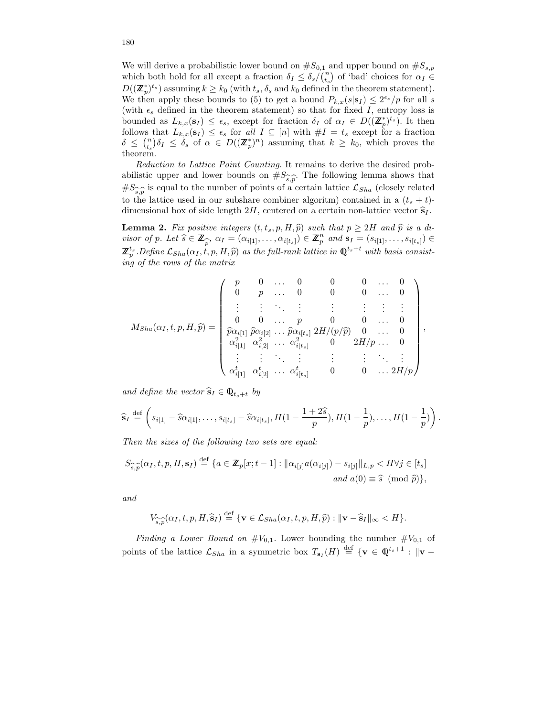We will derive a probabilistic lower bound on  $\#S_{0,1}$  and upper bound on  $\#S_{s,p}$ which both hold for all except a fraction  $\delta_I \leq \delta_s/(l_s^2)$  of 'bad' choices for  $\alpha_I \in$  $D((\mathbb{Z}_p^*)^{t_s})$  assuming  $k \geq k_0$  (with  $t_s$ ,  $\delta_s$  and  $k_0$  defined in the theorem statement). We then apply these bounds to (5) to get a bound  $P_{k,x}(s|s_I) \leq 2^{\epsilon_s}/p$  for all s (with  $\epsilon_s$  defined in the theorem statement) so that for fixed I, entropy loss is bounded as  $L_{k,x}(\mathbf{s}_I) \leq \epsilon_s$ , except for fraction  $\delta_I$  of  $\alpha_I \in D((\mathbb{Z}_p^*)^{t_s})$ . It then follows that  $L_{k,x}(s_I) \leq \epsilon_s$  for all  $I \subseteq [n]$  with  $\#I = t_s$  except for a fraction  $\delta \leq {n \choose t_s} \delta_I \leq \delta_s$  of  $\alpha \in D((\mathbb{Z}_p^*)^n)$  assuming that  $k \geq k_0$ , which proves the theorem.

Reduction to Lattice Point Counting. It remains to derive the desired probabilistic upper and lower bounds on  $\#S_{\hat{\delta},\hat{p}}$ . The following lemma shows that  $\#S_{\hat{\delta},\hat{\delta}}$  is equal to the number of points of a certain lattice  $\mathcal{L}_{\hat{\delta},\hat{\delta}}$  (closely related  $\#S_{\widehat{s},\widehat{p}}$  is equal to the number of points of a certain lattice  $\mathcal{L}_{Sha}$  (closely related<br>to the lattice used in our subshare combiner algoritm) contained in a  $(t + t)$ . to the lattice used in our subshare combiner algoritm) contained in a  $(t_s + t)$ dimensional box of side length  $2H$ , centered on a certain non-lattice vector  $\hat{\mathbf{s}}_I$ .

**Lemma 2.** Fix positive integers  $(t, t_s, p, H, \hat{p})$  such that  $p \geq 2H$  and  $\hat{p}$  is a divisor of p. Let  $\widehat{s} \in \mathbb{Z}_{\widehat{p}}$ ,  $\alpha_I = (\alpha_{i[1]}, \ldots, \alpha_{i[t_s]}) \in \mathbb{Z}_p^n$  and  $\mathbf{s}_I = (s_{i[1]}, \ldots, s_{i[t_s]}) \in \mathbb{Z}_p^{t_s}$ . Define  $\mathcal{L}$  and  $\mathcal{L}$  and  $\mathcal{L}$  and  $\mathbf{s}_I = (s_{i[1]}, \ldots, s_{i[t_s]}) \in \mathbb{Z}_p^{t_s}$ .  $\mathbb{Z}_p^{t_s}$ . Define  $\mathcal{L}_{Sha}(\alpha_I, t, p, H, \widehat{p})$  as the full-rank lattice in  $\mathbb{Q}^{t_s+t}$  with basis consisting of the rows of the matrix

$$
M_{Sha}(\alpha_I, t, p, H, \hat{p}) = \begin{pmatrix} p & 0 & \dots & 0 & 0 & 0 & \dots & 0 \\ 0 & p & \dots & 0 & 0 & 0 & \dots & 0 \\ \vdots & \vdots & \ddots & \vdots & \vdots & \vdots & \vdots & \vdots \\ 0 & 0 & \dots & p & 0 & 0 & \dots & 0 \\ \widehat{p}\alpha_{i[1]}\ \widehat{p}\alpha_{i[2]}\ \dots \widehat{p}\alpha_{i[t_s]}\ 2H/(p/\hat{p}) & 0 & \dots & 0 \\ \alpha_{i[1]}^2 \ \alpha_{i[2]}^2 \ \dots \ \widehat{\alpha}_{i[t_s]}^2 & 0 & 2H/p & \dots & 0 \\ \vdots & \vdots & \ddots & \vdots & \vdots & \vdots & \ddots & \vdots \\ \alpha_{i[1]}^t \ \alpha_{i[2]}^t \ \dots \ \alpha_{i[t_s]}^t & 0 & 0 & \dots & 2H/p \end{pmatrix},
$$

and define the vector  $\widehat{\mathbf{s}}_I \in \mathbf{Q}_{t_s+t}$  by

$$
\widehat{\mathbf{s}}_I \stackrel{\text{def}}{=} \left(s_{i[1]} - \widehat{s}\alpha_{i[1]}, \ldots, s_{i[t_s]} - \widehat{s}\alpha_{i[t_s]}, H(1 - \frac{1+2\widehat{s}}{p}), H(1 - \frac{1}{p}), \ldots, H(1 - \frac{1}{p})\right).
$$

Then the sizes of the following two sets are equal:

$$
S_{\widehat{s},\widehat{p}}(\alpha_I,t,p,H,\mathbf{s}_I) \stackrel{\text{def}}{=} \{a \in \mathbb{Z}_p[x;t-1] : ||\alpha_{i[j]}a(\alpha_{i[j]}) - s_{i[j]}||_{L,p} < H \forall j \in [t_s] \}
$$
\n
$$
and \ a(0) \equiv \widehat{s} \ (\text{mod } \widehat{p})\},
$$

and

$$
V_{\widehat{s},\widehat{p}}(\alpha_I,t,p,H,\widehat{s}_I) \stackrel{\text{def}}{=} \{ \mathbf{v} \in \mathcal{L}_{Sha}(\alpha_I,t,p,H,\widehat{p}) : ||\mathbf{v} - \widehat{s}_I||_{\infty} < H \}.
$$

Finding a Lower Bound on  $\#V_{0,1}$ . Lower bounding the number  $\#V_{0,1}$  of points of the lattice  $\mathcal{L}_{Sha}$  in a symmetric box  $T_{\mathbf{s}_I}(H) \stackrel{\text{def}}{=} {\mathbf{v} \in \mathbb{Q}^{t_s+1} : \|\mathbf{v} - \mathbf{v}\|_F}$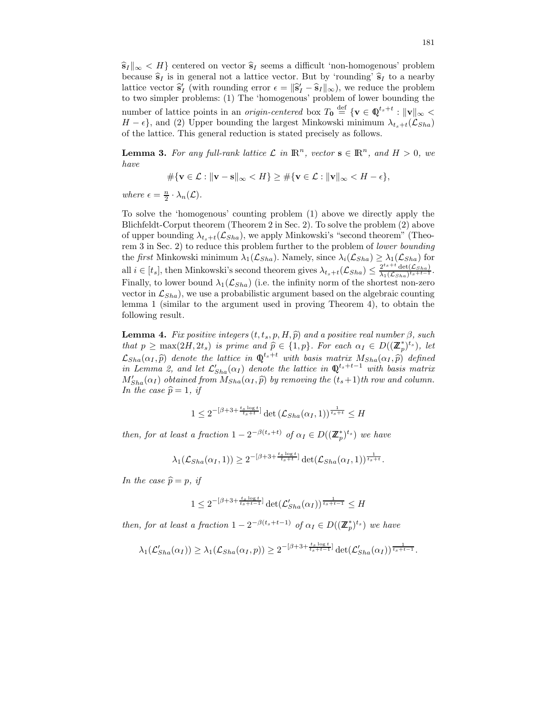$\hat{\mathbf{s}}_I \|_{\infty} < H$  centered on vector  $\hat{\mathbf{s}}_I$  seems a difficult 'non-homogenous' problem because  $\hat{\mathbf{s}}_I$  is in general not a lattice vector. But by 'rounding'  $\hat{\mathbf{s}}_I$  to a nearby lattice vector  $\hat{\mathbf{s}}_I'$  (with rounding error  $\epsilon = ||\hat{\mathbf{s}}_I' - \hat{\mathbf{s}}_I||_{\infty}$ ), we reduce the problem to two simpler problems: (1) The 'homogenous' problem of lower bounding the number of lattice points in an *origin-centered* box  $T_0 \stackrel{\text{def}}{=} {\{v \in \mathbb{Q}^{t_s+t} : ||v||_{\infty} \leq \}$  $H - \epsilon$ , and (2) Upper bounding the largest Minkowski minimum  $\lambda_{t_s+t}(\mathcal{L}_{Sha})$ of the lattice. This general reduction is stated precisely as follows.

**Lemma 3.** For any full-rank lattice  $\mathcal{L}$  in  $\mathbb{R}^n$ , vector  $\mathbf{s} \in \mathbb{R}^n$ , and  $H > 0$ , we have

$$
\#\{\mathbf{v}\in\mathcal{L}: \|\mathbf{v}-\mathbf{s}\|_{\infty}
$$

where  $\epsilon = \frac{n}{2} \cdot \lambda_n(\mathcal{L}).$ 

To solve the 'homogenous' counting problem (1) above we directly apply the Blichfeldt-Corput theorem (Theorem 2 in Sec. 2). To solve the problem (2) above of upper bounding  $\lambda_{t_*+t}(\mathcal{L}_{Sha})$ , we apply Minkowski's "second theorem" (Theorem 3 in Sec. 2) to reduce this problem further to the problem of lower bounding the first Minkowski minimum  $\lambda_1(\mathcal{L}_{Sha})$ . Namely, since  $\lambda_i(\mathcal{L}_{Sha}) \geq \lambda_1(\mathcal{L}_{Sha})$  for all  $i \in [t_s]$ , then Minkowski's second theorem gives  $\lambda_{t_s+t}(\mathcal{L}_{Sha}) \leq \frac{2^{t_s+t} \det(\mathcal{L}_{Sha})}{\lambda_1(\mathcal{L}_{Sha})^{t_s+t-1}}$  $\frac{2}{\lambda_1(\mathcal{L}_{Sha})^{t_s+t-1}}.$ Finally, to lower bound  $\lambda_1(\mathcal{L}_{Sha})$  (i.e. the infinity norm of the shortest non-zero vector in  $\mathcal{L}_{Sha}$ , we use a probabilistic argument based on the algebraic counting lemma 1 (similar to the argument used in proving Theorem 4), to obtain the following result.

**Lemma 4.** Fix positive integers  $(t, t_s, p, H, \hat{p})$  and a positive real number  $\beta$ , such that  $p \ge \max(2H, 2t_s)$  is prime and  $\widehat{p} \in \{1, p\}$ . For each  $\alpha_I \in D((\mathbb{Z}_p^*)^{t_s})$ , let  $\mathcal{L}_{Sha}(\alpha_I, \widehat{p})$  denote the lattice in  $\mathbb{Q}^{t_s+t}$  with basis matrix  $M_{Sha}(\alpha_I, \widehat{p})$  defined in Lemma 2, and let  $\mathcal{L}_{Sha}'(\alpha_I)$  denote the lattice in  $\mathbb{Q}^{t_s+t-1}$  with basis matrix  $M'_{Sha}(\alpha_I)$  obtained from  $M_{Sha}(\alpha_I, \widehat{p})$  by removing the  $(t_s+1)$ th row and column. In the case  $\hat{p} = 1$ , if

$$
1 \leq 2^{-\left[\beta+3+\frac{t_s\log t}{t_s+t}\right]}\det\left(\mathcal{L}_{Sha}(\alpha_I, 1)\right)^{\frac{1}{t_s+t}} \leq H
$$

then, for at least a fraction  $1 - 2^{-\beta(t_s+t)}$  of  $\alpha_I \in D((\mathbb{Z}_p^*)^{t_s})$  we have

$$
\lambda_1(\mathcal{L}_{Sha}(\alpha_I, 1)) \geq 2^{-[\beta + 3 + \frac{t_s \log t}{t_s + t}]} \det(\mathcal{L}_{Sha}(\alpha_I, 1))^{\frac{1}{t_s + t}}.
$$

In the case  $\hat{p} = p$ , if

$$
1 \le 2^{-[\beta+3+\frac{t_s \log t}{t_s+t-1}]} \det(\mathcal{L}_{Sha}'(\alpha_I))^{\frac{1}{t_s+t-1}} \le H
$$

then, for at least a fraction  $1 - 2^{-\beta(t_s + t - 1)}$  of  $\alpha_I \in D((\mathbb{Z}_p^*)^{t_s})$  we have

$$
\lambda_1(\mathcal{L}_{Sha}'(\alpha_I)) \geq \lambda_1(\mathcal{L}_{Sha}(\alpha_I, p)) \geq 2^{-[\beta+3+\frac{t_s \log t}{t_s+t-1}]} \det(\mathcal{L}_{Sha}'(\alpha_I))^{\frac{1}{t_s+t-1}}.
$$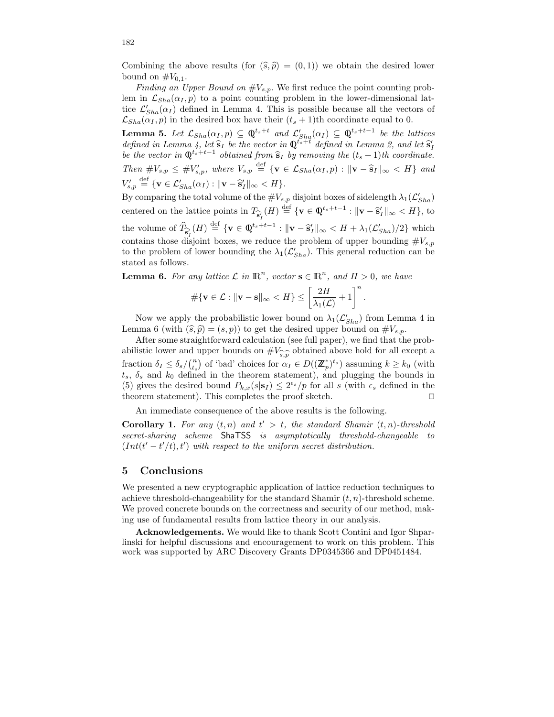Combining the above results (for  $(\widehat{s}, \widehat{p}) = (0, 1)$ ) we obtain the desired lower bound on  $\#V_{0,1}$ .

Finding an Upper Bound on  $\#V_{s,p}$ . We first reduce the point counting problem in  $\mathcal{L}_{Sha}(\alpha_I, p)$  to a point counting problem in the lower-dimensional lattice  $\mathcal{L}'_{Sha}(\alpha_I)$  defined in Lemma 4. This is possible because all the vectors of  $\mathcal{L}_{Sha}(\alpha_I, p)$  in the desired box have their  $(t_s + 1)$ th coordinate equal to 0.

**Lemma 5.** Let  $\mathcal{L}_{Sha}(\alpha_I, p) \subseteq \mathbb{Q}^{t_s+t}$  and  $\mathcal{L}'_{Shq}(\alpha_I) \subseteq \mathbb{Q}^{t_s+t-1}$  be the lattices defined in Lemma 4, let  $\hat{\mathbf{s}}_I$  be the vector in  $\mathbb{Q}^{t_s^*+t}$  defined in Lemma 2, and let  $\hat{\mathbf{s}}_I$ <br>be the vector in  $\mathbb{Q}^{t_s+t-1}$  obtained from  $\hat{\mathbf{s}}_I$  by removing the  $(t_s+1)$ th coordinate. Then  $\#V_{s,p} \leq \#V'_{s,p}$ , where  $V_{s,p} \stackrel{\text{def}}{=} {\mathbf{v} \in \mathcal{L}_{Sha}(\alpha_I, p) : ||\mathbf{v} - \mathbf{\hat{s}}_I||_{\infty} < H}$  and  $V'_{s,p} \stackrel{\text{def}}{=} \{ \mathbf{v} \in \mathcal{L}'_{Sha}(\alpha_I) : ||\mathbf{v} - \mathbf{\hat{s}}'_I||_{\infty} < H \}.$ 

By comparing the total volume of the  $\#V_{s,p}$  disjoint boxes of sidelength  $\lambda_1(\mathcal{L}'_{Sha})$ centered on the lattice points in  $T_{\widehat{\mathbf{s}}_I}(H) \stackrel{\text{def}}{=} {\mathbf{v} \in \mathbb{Q}^{t_s+t-1} : ||\mathbf{v} - \widehat{\mathbf{s}}_I'||_{\infty} < H}$ , to the volume of  $\hat{T}_{\hat{\mathbf{s}}_l}$   $(H) \stackrel{\text{def}}{=} {\mathbf{v} \in \mathbb{Q}^{t_s+t-1} : ||\mathbf{v} - \hat{\mathbf{s}}_l'||_{\infty} < H + \lambda_1(\mathcal{L}_{Sha}')/2}$  which contains those disjoint boxes, we reduce the problem of upper bounding  $\#V_{s,p}$ to the problem of lower bounding the  $\lambda_1(\mathcal{L}'_{Sha})$ . This general reduction can be stated as follows.

**Lemma 6.** For any lattice  $\mathcal{L}$  in  $\mathbb{R}^n$ , vector  $\mathbf{s} \in \mathbb{R}^n$ , and  $H > 0$ , we have

$$
\#\{\mathbf{v} \in \mathcal{L} : \|\mathbf{v} - \mathbf{s}\|_{\infty} < H\} \le \left[\frac{2H}{\lambda_1(\mathcal{L})} + 1\right]^n
$$

.

Now we apply the probabilistic lower bound on  $\lambda_1(\mathcal{L}'_{Sha})$  from Lemma 4 in Lemma 6 (with  $(\widehat{s}, \widehat{p}) = (s, p)$ ) to get the desired upper bound on  $\#V_{s,p}$ .

After some straightforward calculation (see full paper), we find that the probabilistic lower and upper bounds on  $\#V_{\delta,\rho}$  obtained above hold for all except a<br>fraction  $\delta \leq \delta/(n)$  of the d'eboisse for  $\rho \in D((\mathbf{Z}^*)^{\{t\}})$  examing  $h \geq h$ , (with fraction  $\delta_I \leq \delta_s / \binom{n}{t_s}$  of 'bad' choices for  $\alpha_I \in D((\mathbb{Z}_p^*)^{t_s})$  assuming  $k \geq k_0$  (with  $t_s$ ,  $\delta_s$  and  $k_0$  defined in the theorem statement), and plugging the bounds in (5) gives the desired bound  $P_{k,x}(s|s_I) \leq 2^{\epsilon_s}/p$  for all s (with  $\epsilon_s$  defined in the theorem statement). This completes the proof sketch.  $\Box$ 

An immediate consequence of the above results is the following.

**Corollary 1.** For any  $(t, n)$  and  $t' > t$ , the standard Shamir  $(t, n)$ -threshold secret-sharing scheme ShaTSS is asymptotically threshold-changeable to  $(Int(t'-t'/t),t')$  with respect to the uniform secret distribution.

# 5 Conclusions

We presented a new cryptographic application of lattice reduction techniques to achieve threshold-changeability for the standard Shamir  $(t, n)$ -threshold scheme. We proved concrete bounds on the correctness and security of our method, making use of fundamental results from lattice theory in our analysis.

Acknowledgements. We would like to thank Scott Contini and Igor Shparlinski for helpful discussions and encouragement to work on this problem. This work was supported by ARC Discovery Grants DP0345366 and DP0451484.

182